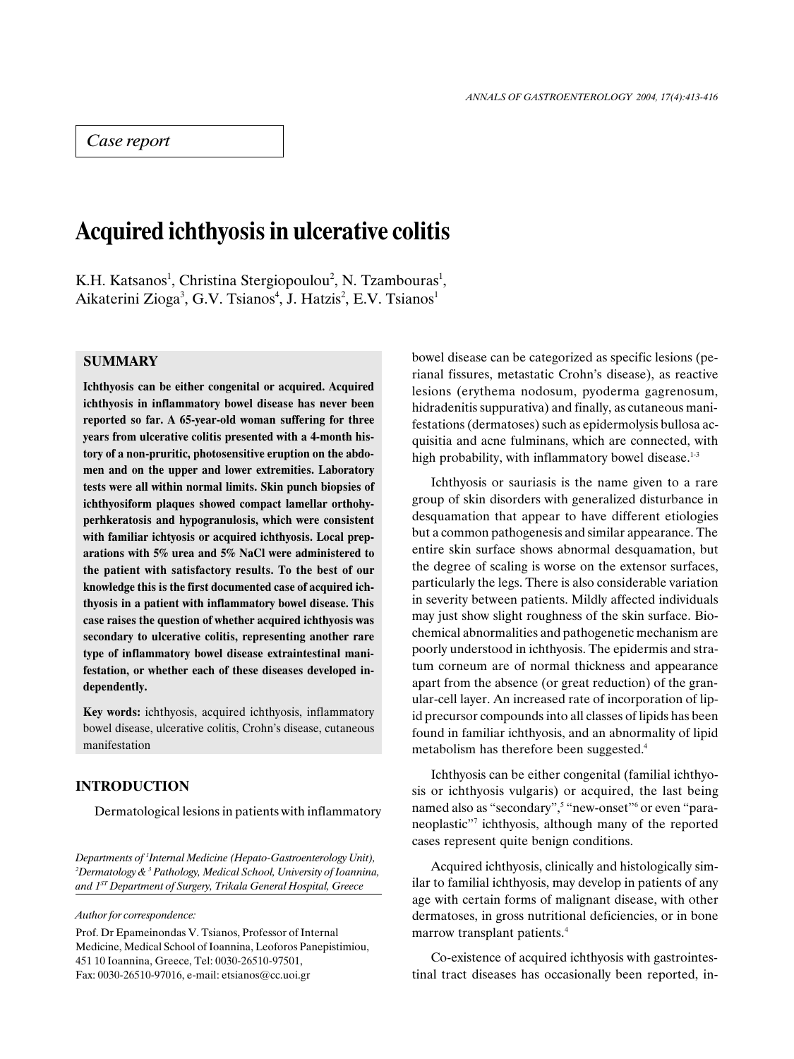# Case report

# Acquired ichthyosis in ulcerative colitis

K.H. Katsanos<sup>1</sup>, Christina Stergiopoulou<sup>2</sup>, N. Tzambouras<sup>1</sup>, Aikaterini Zioga<sup>3</sup>, G.V. Tsianos<sup>4</sup>, J. Hatzis<sup>2</sup>, E.V. Tsianos<sup>1</sup>

## SUMMARY

Ichthyosis can be either congenital or acquired. Acquired ichthyosis in inflammatory bowel disease has never been reported so far. A 65-year-old woman suffering for three years from ulcerative colitis presented with a 4-month history of a non-pruritic, photosensitive eruption on the abdomen and on the upper and lower extremities. Laboratory tests were all within normal limits. Skin punch biopsies of ichthyosiform plaques showed compact lamellar orthohyperhkeratosis and hypogranulosis, which were consistent with familiar ichtyosis or acquired ichthyosis. Local preparations with 5% urea and 5% NaCl were administered to the patient with satisfactory results. To the best of our knowledge this is the first documented case of acquired ichthyosis in a patient with inflammatory bowel disease. This case raises the question of whether acquired ichthyosis was secondary to ulcerative colitis, representing another rare type of inflammatory bowel disease extraintestinal manifestation, or whether each of these diseases developed independently.

Key words: ichthyosis, acquired ichthyosis, inflammatory bowel disease, ulcerative colitis, Crohn's disease, cutaneous manifestation

#### INTRODUCTION

Dermatological lesions in patients with inflammatory

Departments of <sup>1</sup>Internal Medicine (Hepato-Gastroenterology Unit), <sup>2</sup>Dermatology & <sup>3</sup> Pathology, Medical School, University of Ioannina, and  $1^{ST}$  Department of Surgery, Trikala General Hospital, Greece

Author for correspondence:

Prof. Dr Epameinondas V. Tsianos, Professor of Internal Medicine, Medical School of Ioannina, Leoforos Panepistimiou, 451 10 Ioannina, Greece, Tel: 0030-26510-97501, Fax: 0030-26510-97016, e-mail: etsianos@cc.uoi.gr

bowel disease can be categorized as specific lesions (perianal fissures, metastatic Crohn's disease), as reactive lesions (erythema nodosum, pyoderma gagrenosum, hidradenitis suppurativa) and finally, as cutaneous manifestations (dermatoses) such as epidermolysis bullosa acquisitia and acne fulminans, which are connected, with high probability, with inflammatory bowel disease. $1-3$ 

Ichthyosis or sauriasis is the name given to a rare group of skin disorders with generalized disturbance in desquamation that appear to have different etiologies but a common pathogenesis and similar appearance. The entire skin surface shows abnormal desquamation, but the degree of scaling is worse on the extensor surfaces, particularly the legs. There is also considerable variation in severity between patients. Mildly affected individuals may just show slight roughness of the skin surface. Biochemical abnormalities and pathogenetic mechanism are poorly understood in ichthyosis. The epidermis and stratum corneum are of normal thickness and appearance apart from the absence (or great reduction) of the granular-cell layer. An increased rate of incorporation of lipid precursor compounds into all classes of lipids has been found in familiar ichthyosis, and an abnormality of lipid metabolism has therefore been suggested.<sup>4</sup>

Ichthyosis can be either congenital (familial ichthyosis or ichthyosis vulgaris) or acquired, the last being named also as "secondary", 5 "new-onset" or even "paraneoplastic"<sup>7</sup> ichthyosis, although many of the reported cases represent quite benign conditions.

Acquired ichthyosis, clinically and histologically similar to familial ichthyosis, may develop in patients of any age with certain forms of malignant disease, with other dermatoses, in gross nutritional deficiencies, or in bone marrow transplant patients.<sup>4</sup>

Co-existence of acquired ichthyosis with gastrointestinal tract diseases has occasionally been reported, in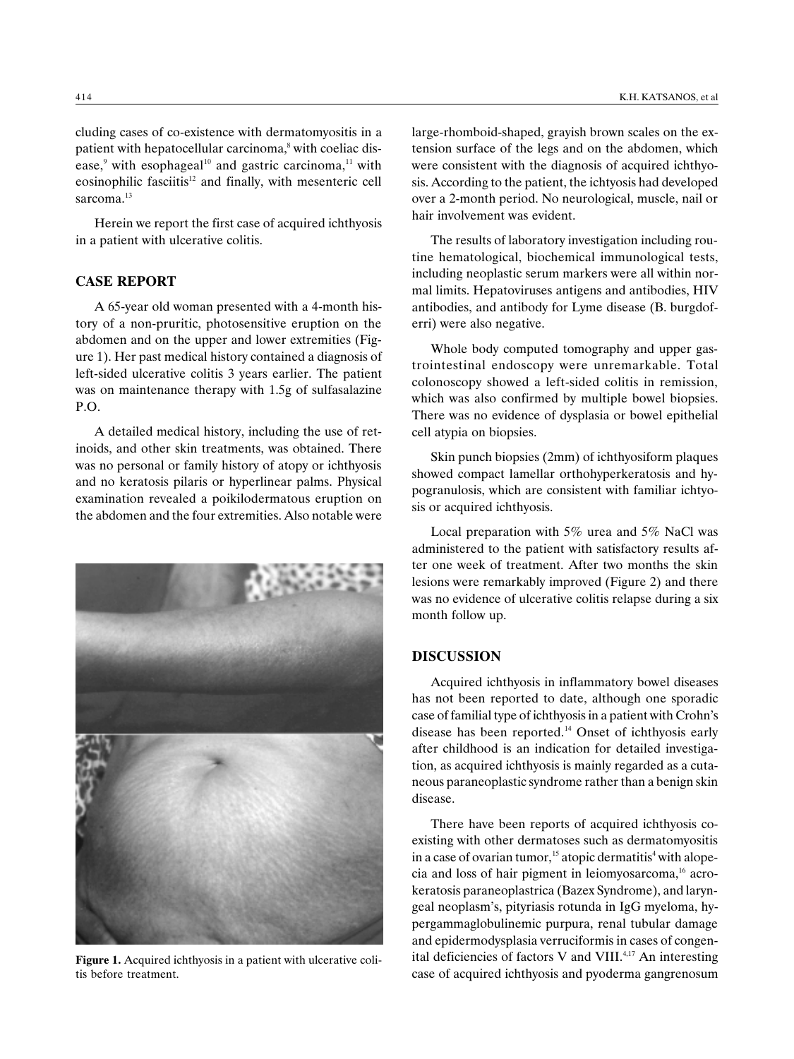cluding cases of co-existence with dermatomyositis in a patient with hepatocellular carcinoma,<sup>8</sup> with coeliac disease, $9$  with esophageal<sup>10</sup> and gastric carcinoma,<sup>11</sup> with eosinophilic fasciitis<sup>12</sup> and finally, with mesenteric cell sarcoma<sup>13</sup>

Herein we report the first case of acquired ichthyosis in a patient with ulcerative colitis.

### CASE REPORT

A 65-year old woman presented with a 4-month history of a non-pruritic, photosensitive eruption on the abdomen and on the upper and lower extremities (Figure 1). Her past medical history contained a diagnosis of left-sided ulcerative colitis 3 years earlier. The patient was on maintenance therapy with 1.5g of sulfasalazine P.O.

A detailed medical history, including the use of retinoids, and other skin treatments, was obtained. There was no personal or family history of atopy or ichthyosis and no keratosis pilaris or hyperlinear palms. Physical examination revealed a poikilodermatous eruption on the abdomen and the four extremities. Also notable were



Figure 1. Acquired ichthyosis in a patient with ulcerative colitis before treatment.

large-rhomboid-shaped, grayish brown scales on the extension surface of the legs and on the abdomen, which were consistent with the diagnosis of acquired ichthyosis. According to the patient, the ichtyosis had developed over a 2-month period. No neurological, muscle, nail or hair involvement was evident.

The results of laboratory investigation including routine hematological, biochemical immunological tests, including neoplastic serum markers were all within normal limits. Hepatoviruses antigens and antibodies, HIV antibodies, and antibody for Lyme disease (B. burgdoferri) were also negative.

Whole body computed tomography and upper gastrointestinal endoscopy were unremarkable. Total colonoscopy showed a left-sided colitis in remission, which was also confirmed by multiple bowel biopsies. There was no evidence of dysplasia or bowel epithelial cell atypia on biopsies.

Skin punch biopsies (2mm) of ichthyosiform plaques showed compact lamellar orthohyperkeratosis and hypogranulosis, which are consistent with familiar ichtyosis or acquired ichthyosis.

Local preparation with 5% urea and 5% NaCl was administered to the patient with satisfactory results after one week of treatment. After two months the skin lesions were remarkably improved (Figure 2) and there was no evidence of ulcerative colitis relapse during a six month follow up.

#### DISCUSSION

Acquired ichthyosis in inflammatory bowel diseases has not been reported to date, although one sporadic case of familial type of ichthyosis in a patient with Crohn's disease has been reported.14 Onset of ichthyosis early after childhood is an indication for detailed investigation, as acquired ichthyosis is mainly regarded as a cutaneous paraneoplastic syndrome rather than a benign skin disease.

There have been reports of acquired ichthyosis coexisting with other dermatoses such as dermatomyositis in a case of ovarian tumor,<sup>15</sup> atopic dermatitis<sup>4</sup> with alopecia and loss of hair pigment in leiomyosarcoma, $16$  acrokeratosis paraneoplastrica (Bazex Syndrome), and laryngeal neoplasm's, pityriasis rotunda in IgG myeloma, hypergammaglobulinemic purpura, renal tubular damage and epidermodysplasia verruciformis in cases of congenital deficiencies of factors V and VIII.<sup>4,17</sup> An interesting case of acquired ichthyosis and pyoderma gangrenosum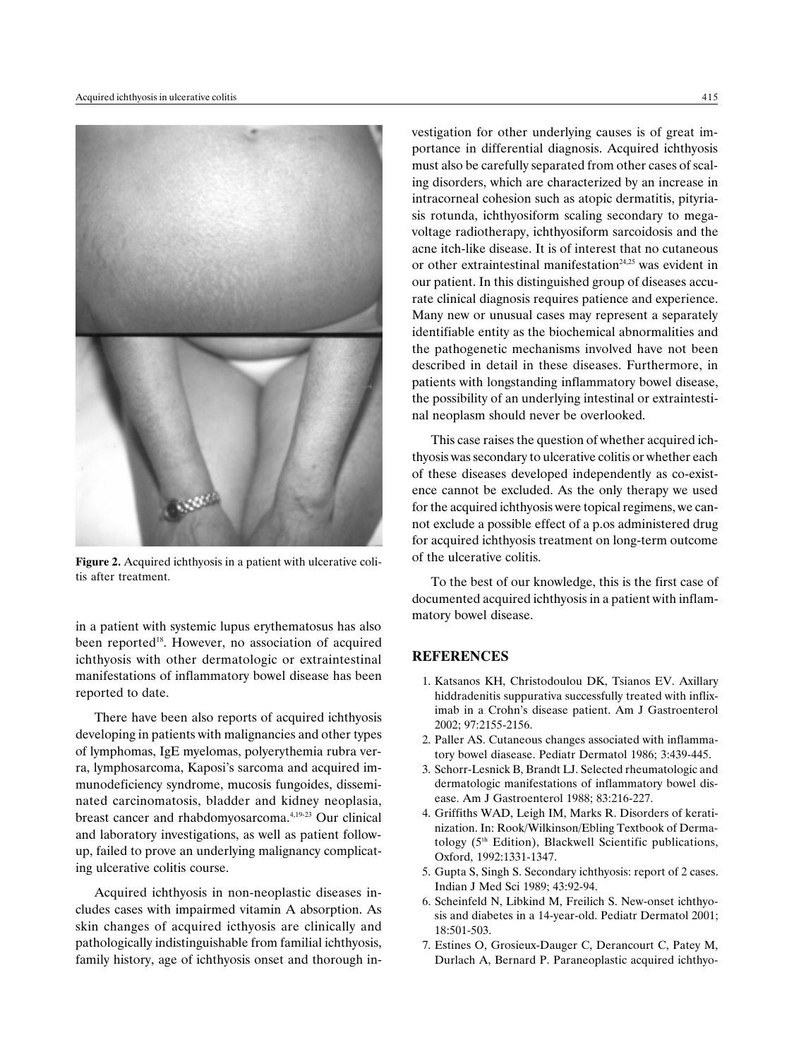

Figure 2. Acquired ichthyosis in a patient with ulcerative colitis after treatment.

in a patient with systemic lupus erythematosus has also been reported<sup>18</sup>. However, no association of acquired ichthyosis with other dermatologic or extraintestinal manifestations of inflammatory bowel disease has been reported to date.

There have been also reports of acquired ichthyosis developing in patients with malignancies and other types of lymphomas, IgE myelomas, polyerythemia rubra verra, lymphosarcoma, Kaposi's sarcoma and acquired immunodeficiency syndrome, mucosis fungoides, disseminated carcinomatosis, bladder and kidney neoplasia, breast cancer and rhabdomyosarcoma.4,19-23 Our clinical and laboratory investigations, as well as patient followup, failed to prove an underlying malignancy complicating ulcerative colitis course.

Acquired ichthyosis in non-neoplastic diseases includes cases with impairmed vitamin A absorption. As skin changes of acquired icthyosis are clinically and pathologically indistinguishable from familial ichthyosis, family history, age of ichthyosis onset and thorough investigation for other underlying causes is of great importance in differential diagnosis. Acquired ichthyosis must also be carefully separated from other cases of scaling disorders, which are characterized by an increase in intracorneal cohesion such as atopic dermatitis, pityriasis rotunda, ichthyosiform scaling secondary to megavoltage radiotherapy, ichthyosiform sarcoidosis and the acne itch-like disease. It is of interest that no cutaneous or other extraintestinal manifestation<sup>24,25</sup> was evident in our patient. In this distinguished group of diseases accurate clinical diagnosis requires patience and experience. Many new or unusual cases may represent a separately identifiable entity as the biochemical abnormalities and the pathogenetic mechanisms involved have not been described in detail in these diseases. Furthermore, in patients with longstanding inflammatory bowel disease, the possibility of an underlying intestinal or extraintestinal neoplasm should never be overlooked.

This case raises the question of whether acquired ichthyosis was secondary to ulcerative colitis or whether each of these diseases developed independently as co-existence cannot be excluded. As the only therapy we used for the acquired ichthyosis were topical regimens, we cannot exclude a possible effect of a p.os administered drug for acquired ichthyosis treatment on long-term outcome of the ulcerative colitis.

To the best of our knowledge, this is the first case of documented acquired ichthyosis in a patient with inflammatory bowel disease.

#### **REFERENCES**

- 1. Katsanos KH, Christodoulou DK, Tsianos EV. Axillary hiddradenitis suppurativa successfully treated with infliximab in a Crohn's disease patient. Am J Gastroenterol 2002; 97:2155-2156.
- 2. Paller AS. Cutaneous changes associated with inflammatory bowel diasease. Pediatr Dermatol 1986; 3:439-445.
- 3. Schorr-Lesnick B, Brandt LJ. Selected rheumatologic and dermatologic manifestations of inflammatory bowel disease. Am J Gastroenterol 1988; 83:216-227.
- 4. Griffiths WAD, Leigh IM, Marks R. Disorders of keratinization. In: Rook/Wilkinson/Ebling Textbook of Dermatology (5th Edition), Blackwell Scientific publications, Oxford, 1992:1331-1347.
- 5. Gupta S, Singh S. Secondary ichthyosis: report of 2 cases. Indian J Med Sci 1989; 43:92-94.
- 6. Scheinfeld N, Libkind M, Freilich S. New-onset ichthyosis and diabetes in a 14-year-old. Pediatr Dermatol 2001; 18:501-503.
- 7. Estines O, Grosieux-Dauger C, Derancourt C, Patey M, Durlach A, Bernard P. Paraneoplastic acquired ichthyo-